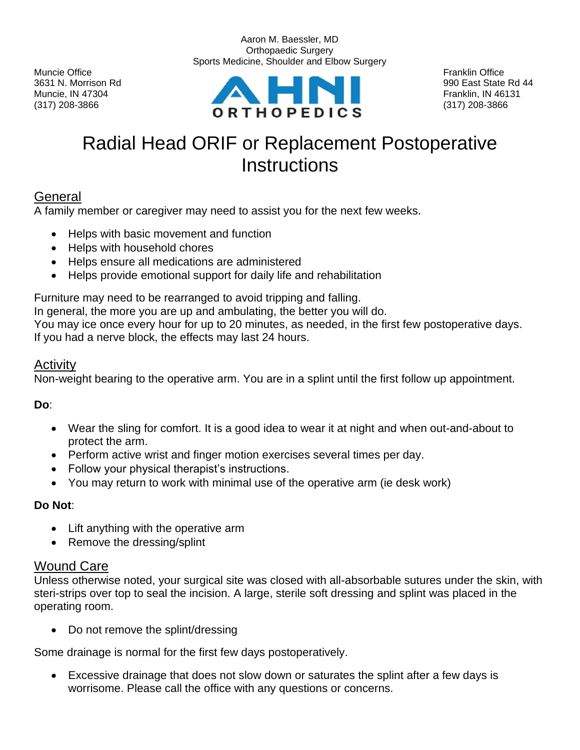$(317)$  208-3866 (317) 208-3866



Aaron M. Baessler, MD

# Radial Head ORIF or Replacement Postoperative **Instructions**

## General

A family member or caregiver may need to assist you for the next few weeks.

- Helps with basic movement and function
- Helps with household chores
- Helps ensure all medications are administered
- Helps provide emotional support for daily life and rehabilitation

Furniture may need to be rearranged to avoid tripping and falling.

In general, the more you are up and ambulating, the better you will do.

You may ice once every hour for up to 20 minutes, as needed, in the first few postoperative days. If you had a nerve block, the effects may last 24 hours.

### Activity

Non-weight bearing to the operative arm. You are in a splint until the first follow up appointment.

**Do**:

- Wear the sling for comfort. It is a good idea to wear it at night and when out-and-about to protect the arm.
- Perform active wrist and finger motion exercises several times per day.
- Follow your physical therapist's instructions.
- You may return to work with minimal use of the operative arm (ie desk work)

#### **Do Not**:

- Lift anything with the operative arm
- Remove the dressing/splint

## Wound Care

Unless otherwise noted, your surgical site was closed with all-absorbable sutures under the skin, with steri-strips over top to seal the incision. A large, sterile soft dressing and splint was placed in the operating room.

• Do not remove the splint/dressing

Some drainage is normal for the first few days postoperatively.

• Excessive drainage that does not slow down or saturates the splint after a few days is worrisome. Please call the office with any questions or concerns.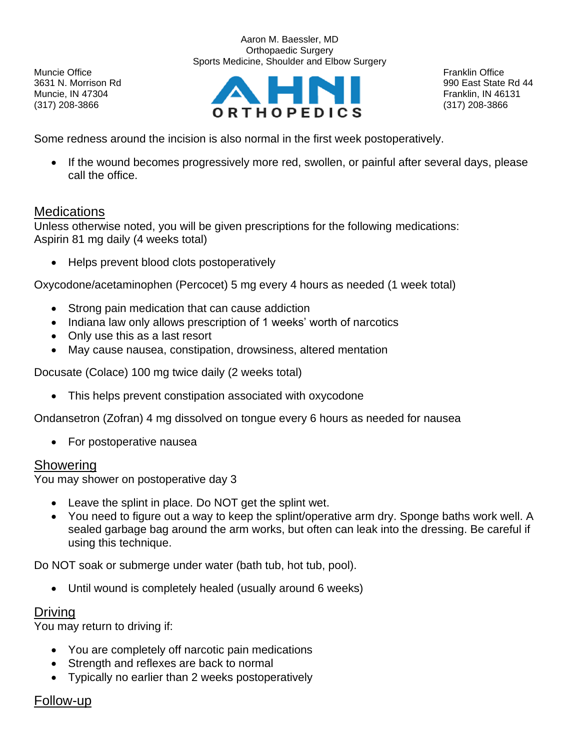Aaron M. Baessler, MD Orthopaedic Surgery Sports Medicine, Shoulder and Elbow Surgery

Muncie Office **Franklin Office** Franklin Office **Franklin Office** Franklin Office **Franklin Office** 



Some redness around the incision is also normal in the first week postoperatively.

• If the wound becomes progressively more red, swollen, or painful after several days, please call the office.

### **Medications**

Unless otherwise noted, you will be given prescriptions for the following medications: Aspirin 81 mg daily (4 weeks total)

• Helps prevent blood clots postoperatively

Oxycodone/acetaminophen (Percocet) 5 mg every 4 hours as needed (1 week total)

- Strong pain medication that can cause addiction
- Indiana law only allows prescription of 1 weeks' worth of narcotics
- Only use this as a last resort
- May cause nausea, constipation, drowsiness, altered mentation

Docusate (Colace) 100 mg twice daily (2 weeks total)

• This helps prevent constipation associated with oxycodone

Ondansetron (Zofran) 4 mg dissolved on tongue every 6 hours as needed for nausea

• For postoperative nausea

#### **Showering**

You may shower on postoperative day 3

- Leave the splint in place. Do NOT get the splint wet.
- You need to figure out a way to keep the splint/operative arm dry. Sponge baths work well. A sealed garbage bag around the arm works, but often can leak into the dressing. Be careful if using this technique.

Do NOT soak or submerge under water (bath tub, hot tub, pool).

• Until wound is completely healed (usually around 6 weeks)

## Driving

You may return to driving if:

- You are completely off narcotic pain medications
- Strength and reflexes are back to normal
- Typically no earlier than 2 weeks postoperatively

#### Follow-up